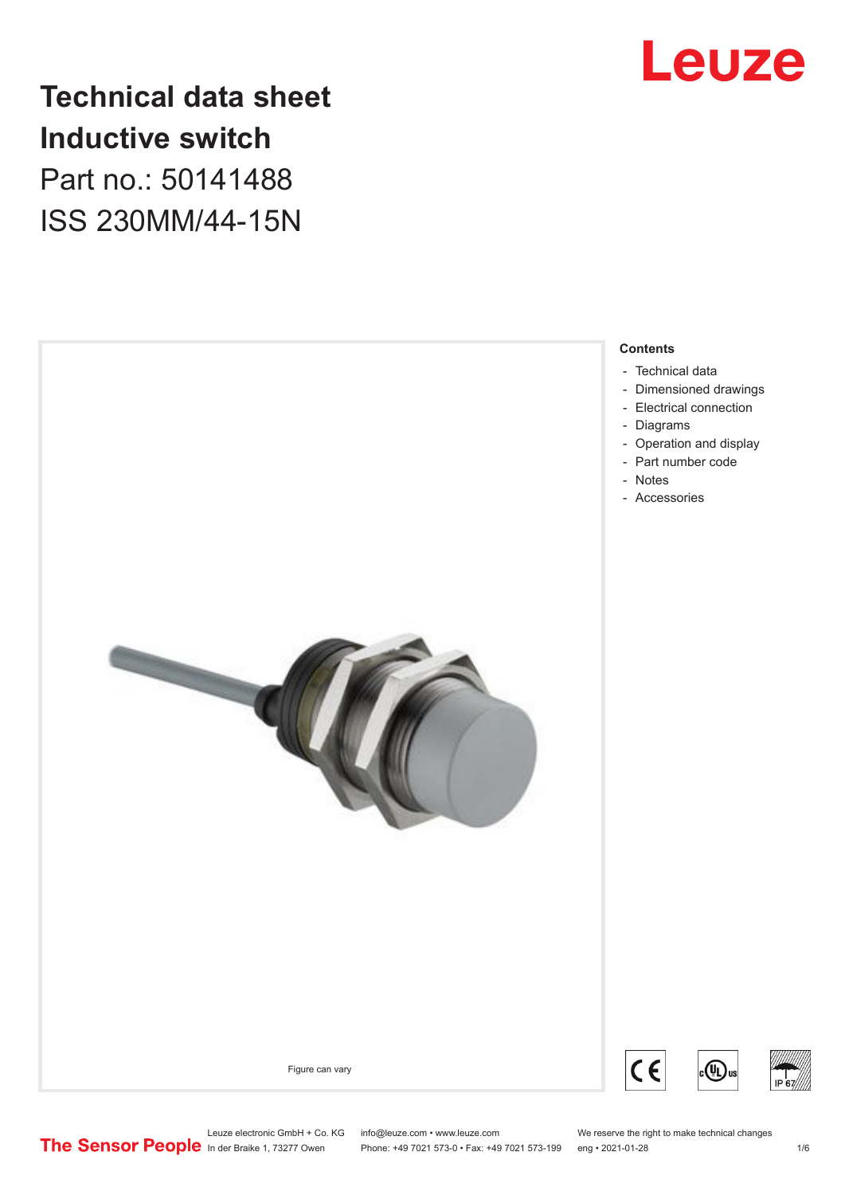

# **Technical data sheet Inductive switch** Part no.: 50141488 ISS 230MM/44-15N

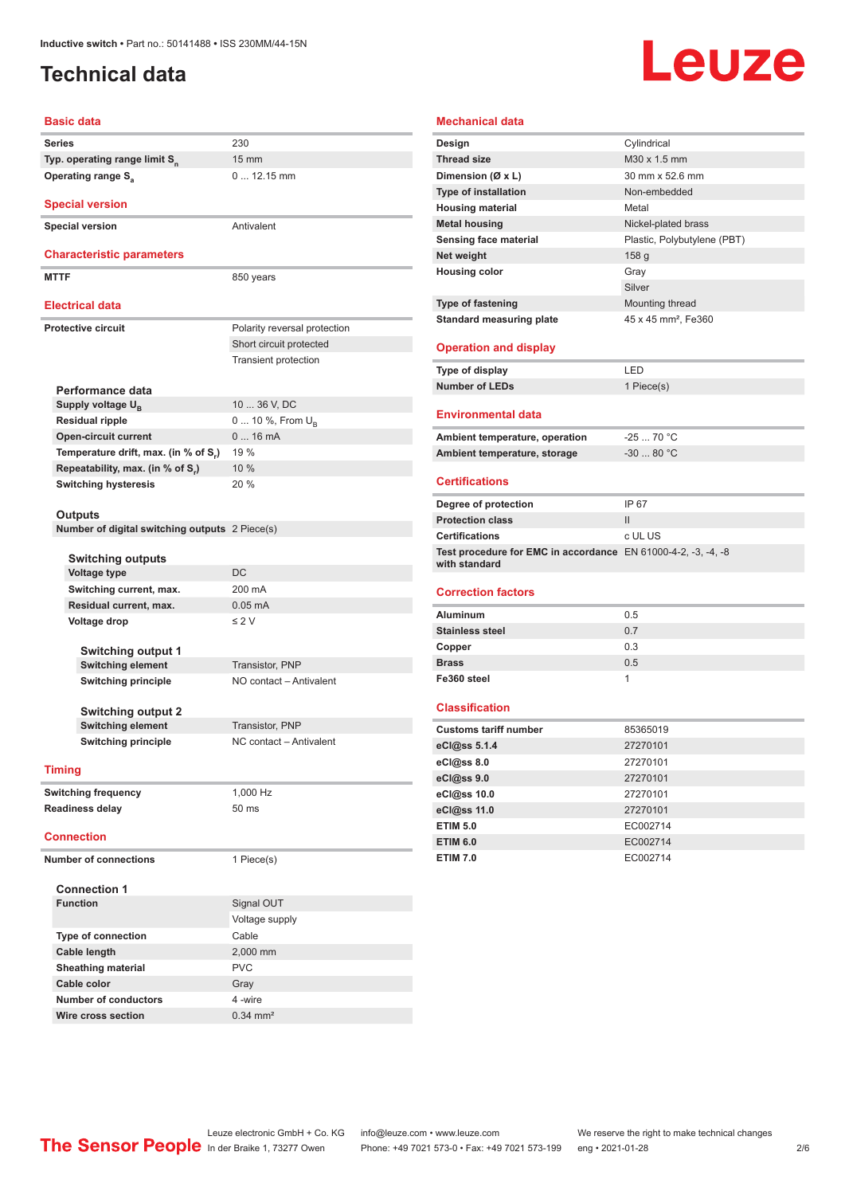# <span id="page-1-0"></span>**Technical data**

# Leuze

| <b>Basic data</b> |                                                   |                              |  |
|-------------------|---------------------------------------------------|------------------------------|--|
|                   | Series                                            | 230                          |  |
|                   | Typ. operating range limit S <sub>n</sub>         | $15 \text{ mm}$              |  |
|                   | Operating range S <sub>a</sub>                    | $0 12.15$ mm                 |  |
|                   |                                                   |                              |  |
|                   | <b>Special version</b>                            |                              |  |
|                   | <b>Special version</b>                            | Antivalent                   |  |
|                   |                                                   |                              |  |
|                   | <b>Characteristic parameters</b>                  |                              |  |
|                   | <b>MTTF</b>                                       | 850 years                    |  |
|                   | <b>Electrical data</b>                            |                              |  |
|                   | <b>Protective circuit</b>                         | Polarity reversal protection |  |
|                   |                                                   | Short circuit protected      |  |
|                   |                                                   | <b>Transient protection</b>  |  |
|                   |                                                   |                              |  |
|                   | Performance data                                  |                              |  |
|                   | Supply voltage $U_{B}$                            | 10  36 V, DC                 |  |
|                   | <b>Residual ripple</b>                            | 0  10 %, From U <sub>p</sub> |  |
|                   | <b>Open-circuit current</b>                       | 016mA                        |  |
|                   | Temperature drift, max. (in % of S.)              | 19 %                         |  |
|                   | Repeatability, max. (in % of S.)                  | 10 %                         |  |
|                   | <b>Switching hysteresis</b>                       | 20 %                         |  |
|                   |                                                   |                              |  |
|                   | Outputs                                           |                              |  |
|                   | Number of digital switching outputs 2 Piece(s)    |                              |  |
|                   |                                                   |                              |  |
|                   | <b>Switching outputs</b>                          | DC                           |  |
|                   | <b>Voltage type</b>                               | 200 mA                       |  |
|                   | Switching current, max.<br>Residual current, max. | $0.05$ mA                    |  |
|                   | Voltage drop                                      | $\leq 2$ V                   |  |
|                   |                                                   |                              |  |
|                   | <b>Switching output 1</b>                         |                              |  |
|                   | <b>Switching element</b>                          | Transistor, PNP              |  |
|                   | <b>Switching principle</b>                        | NO contact - Antivalent      |  |
|                   |                                                   |                              |  |
|                   | <b>Switching output 2</b>                         |                              |  |
|                   | <b>Switching element</b>                          | Transistor, PNP              |  |
|                   | <b>Switching principle</b>                        | NC contact - Antivalent      |  |
|                   |                                                   |                              |  |
|                   | <b>Timing</b>                                     |                              |  |
|                   | <b>Switching frequency</b>                        | 1,000 Hz                     |  |
|                   | <b>Readiness delay</b>                            | 50 <sub>ms</sub>             |  |
| <b>Connection</b> |                                                   |                              |  |
|                   |                                                   |                              |  |
|                   | <b>Number of connections</b>                      | 1 Piece(s)                   |  |
|                   | <b>Connection 1</b>                               |                              |  |
|                   | <b>Function</b>                                   | Signal OUT                   |  |
|                   |                                                   | Voltage supply               |  |
|                   | <b>Type of connection</b>                         | Cable                        |  |
|                   | Cable length                                      | 2,000 mm                     |  |
|                   | Sheathing material                                | <b>PVC</b>                   |  |
|                   | Cable color                                       | Gray                         |  |
|                   | <b>Number of conductors</b>                       | 4 -wire                      |  |
|                   |                                                   |                              |  |

#### **Mechanical data**

| Design                                                        | Cylindrical                     |
|---------------------------------------------------------------|---------------------------------|
| <b>Thread size</b>                                            | M30 x 1.5 mm                    |
| Dimension (Ø x L)                                             | 30 mm x 52.6 mm                 |
| <b>Type of installation</b>                                   | Non-embedded                    |
| <b>Housing material</b>                                       | Metal                           |
| <b>Metal housing</b>                                          | Nickel-plated brass             |
| Sensing face material                                         | Plastic, Polybutylene (PBT)     |
| Net weight                                                    | 158 g                           |
| <b>Housing color</b>                                          | Gray                            |
|                                                               | Silver                          |
| Type of fastening                                             | Mounting thread                 |
| <b>Standard measuring plate</b>                               | 45 x 45 mm <sup>2</sup> , Fe360 |
|                                                               |                                 |
| <b>Operation and display</b>                                  |                                 |
| Type of display                                               | LED                             |
| <b>Number of LEDs</b>                                         | 1 Piece(s)                      |
|                                                               |                                 |
| <b>Environmental data</b>                                     |                                 |
| Ambient temperature, operation                                | $-2570 °C$                      |
| Ambient temperature, storage                                  | $-30$ 80 °C                     |
|                                                               |                                 |
| <b>Certifications</b>                                         |                                 |
| Degree of protection                                          | IP 67                           |
| <b>Protection class</b>                                       | $\mathsf{II}$                   |
| <b>Certifications</b>                                         | c UL US                         |
| Test procedure for EMC in accordance EN 61000-4-2, -3, -4, -8 |                                 |
| with standard                                                 |                                 |
| <b>Correction factors</b>                                     |                                 |
| Aluminum                                                      | 0.5                             |
| <b>Stainless steel</b>                                        | 0.7                             |
| Copper                                                        | 0.3                             |
| <b>Brass</b>                                                  | 0.5                             |
| Fe360 steel                                                   | 1                               |
|                                                               |                                 |
| <b>Classification</b>                                         |                                 |
| <b>Customs tariff number</b>                                  | 85365019                        |
| eCl@ss 5.1.4                                                  | 27270101                        |
| eCl@ss 8.0                                                    | 27270101                        |
| eCl@ss 9.0                                                    | 27270101                        |
| eCl@ss 10.0                                                   | 27270101                        |
| eCl@ss 11.0                                                   | 27270101                        |
| <b>ETIM 5.0</b>                                               | EC002714                        |
| <b>ETIM 6.0</b>                                               | EC002714                        |
| <b>ETIM 7.0</b>                                               | EC002714                        |
|                                                               |                                 |

**Wire cross section** 0.34 mm<sup>2</sup>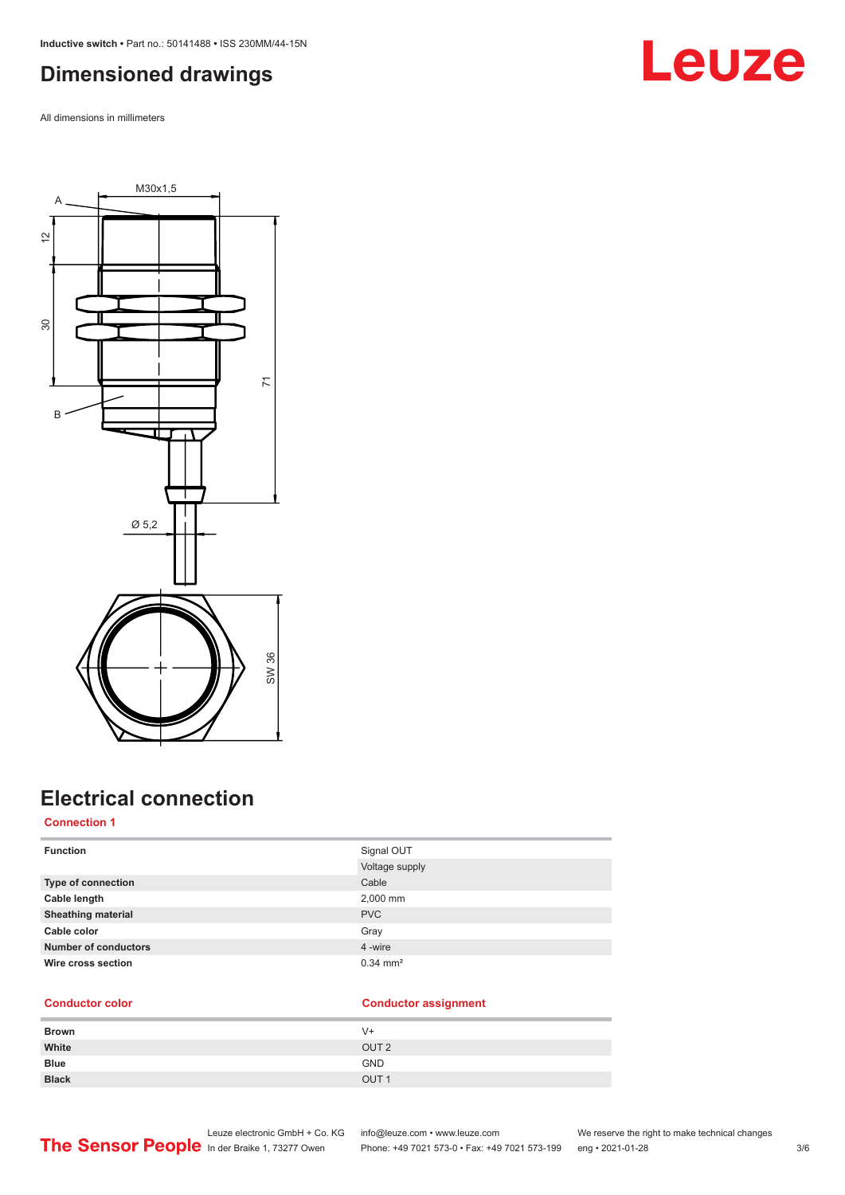<span id="page-2-0"></span>**Inductive switch •** Part no.: 50141488 **•** ISS 230MM/44-15N

# **Dimensioned drawings**

All dimensions in millimeters





# **Electrical connection**

#### **Connection 1**

| <b>Function</b>             | Signal OUT            |
|-----------------------------|-----------------------|
|                             | Voltage supply        |
| <b>Type of connection</b>   | Cable                 |
| Cable length                | 2,000 mm              |
| <b>Sheathing material</b>   | <b>PVC</b>            |
| Cable color                 | Gray                  |
| <b>Number of conductors</b> | 4 -wire               |
| Wire cross section          | $0.34 \, \text{mm}^2$ |

#### **Conductor color Conductor assignment**

| <b>Brown</b> | V+               |
|--------------|------------------|
| White        | OUT <sub>2</sub> |
| <b>Blue</b>  | <b>GND</b>       |
| <b>Black</b> | OUT <sub>1</sub> |

Leuze electronic GmbH + Co. KG info@leuze.com • www.leuze.com We reserve the right to make technical changes ln der Braike 1, 73277 Owen Phone: +49 7021 573-0 • Fax: +49 7021 573-199 eng • 2021-01-28 3/6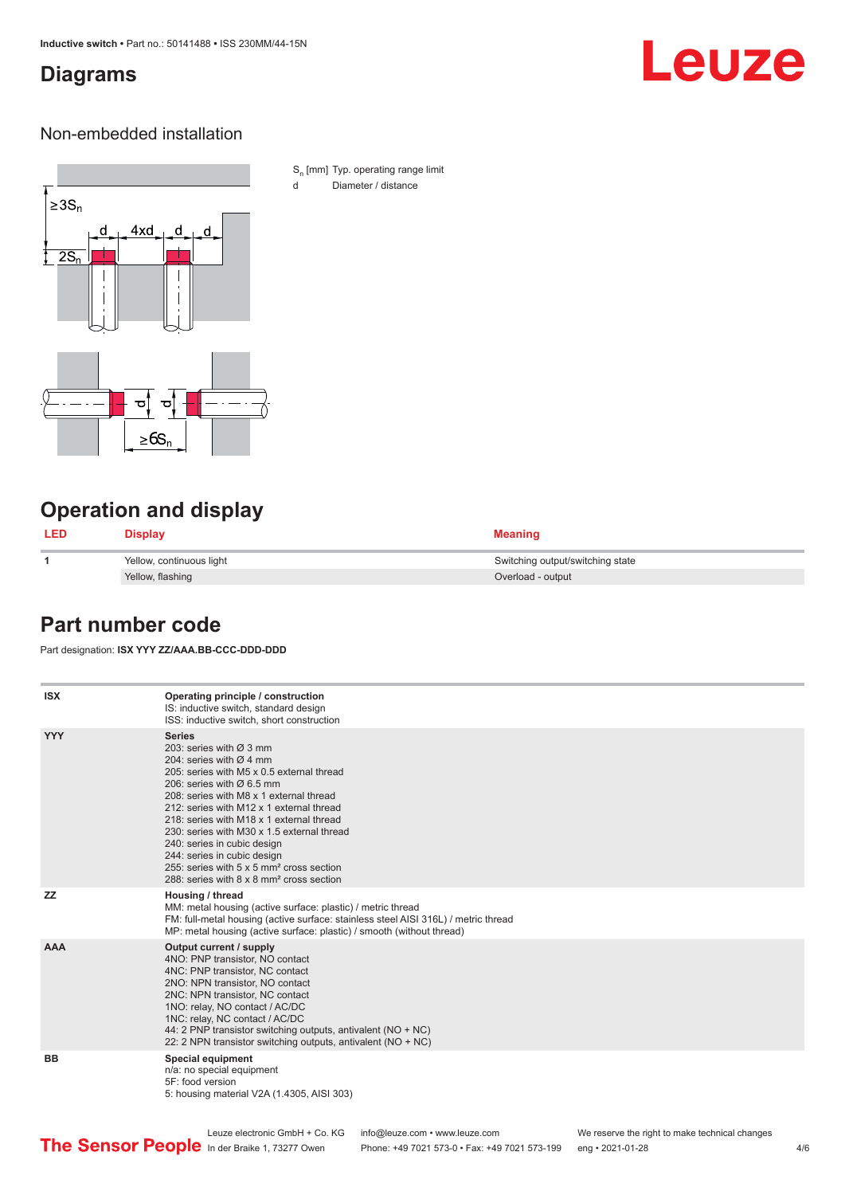# <span id="page-3-0"></span>**Diagrams**

# Leuze

### Non-embedded installation



S<sub>n</sub> [mm] Typ. operating range limit d Diameter / distance

# **Operation and display**

| <b>LED</b> | <b>Display</b>           | <b>Meaning</b>                   |
|------------|--------------------------|----------------------------------|
|            | Yellow, continuous light | Switching output/switching state |
|            | Yellow, flashing         | Overload - output                |

## **Part number code**

Part designation: **ISX YYY ZZ/AAA.BB-CCC-DDD-DDD**

| <b>ISX</b> | Operating principle / construction<br>IS: inductive switch, standard design<br>ISS: inductive switch, short construction                                                                                                                                                                                                                                                                                                                                                                                                                         |
|------------|--------------------------------------------------------------------------------------------------------------------------------------------------------------------------------------------------------------------------------------------------------------------------------------------------------------------------------------------------------------------------------------------------------------------------------------------------------------------------------------------------------------------------------------------------|
| <b>YYY</b> | <b>Series</b><br>203: series with $\varnothing$ 3 mm<br>204: series with $\varnothing$ 4 mm<br>205: series with M5 x 0.5 external thread<br>206: series with $\varnothing$ 6.5 mm<br>208: series with M8 x 1 external thread<br>212: series with M12 x 1 external thread<br>218: series with M18 x 1 external thread<br>230: series with M30 x 1.5 external thread<br>240: series in cubic design<br>244: series in cubic design<br>255: series with 5 x 5 mm <sup>2</sup> cross section<br>288: series with 8 x 8 mm <sup>2</sup> cross section |
| <b>ZZ</b>  | Housing / thread<br>MM: metal housing (active surface: plastic) / metric thread<br>FM: full-metal housing (active surface: stainless steel AISI 316L) / metric thread<br>MP: metal housing (active surface: plastic) / smooth (without thread)                                                                                                                                                                                                                                                                                                   |
| <b>AAA</b> | Output current / supply<br>4NO: PNP transistor, NO contact<br>4NC: PNP transistor, NC contact<br>2NO: NPN transistor, NO contact<br>2NC: NPN transistor, NC contact<br>1NO: relay, NO contact / AC/DC<br>1NC: relay, NC contact / AC/DC<br>44: 2 PNP transistor switching outputs, antivalent (NO + NC)<br>22: 2 NPN transistor switching outputs, antivalent (NO + NC)                                                                                                                                                                          |
| <b>BB</b>  | <b>Special equipment</b><br>n/a: no special equipment<br>5F: food version<br>5: housing material V2A (1.4305, AISI 303)                                                                                                                                                                                                                                                                                                                                                                                                                          |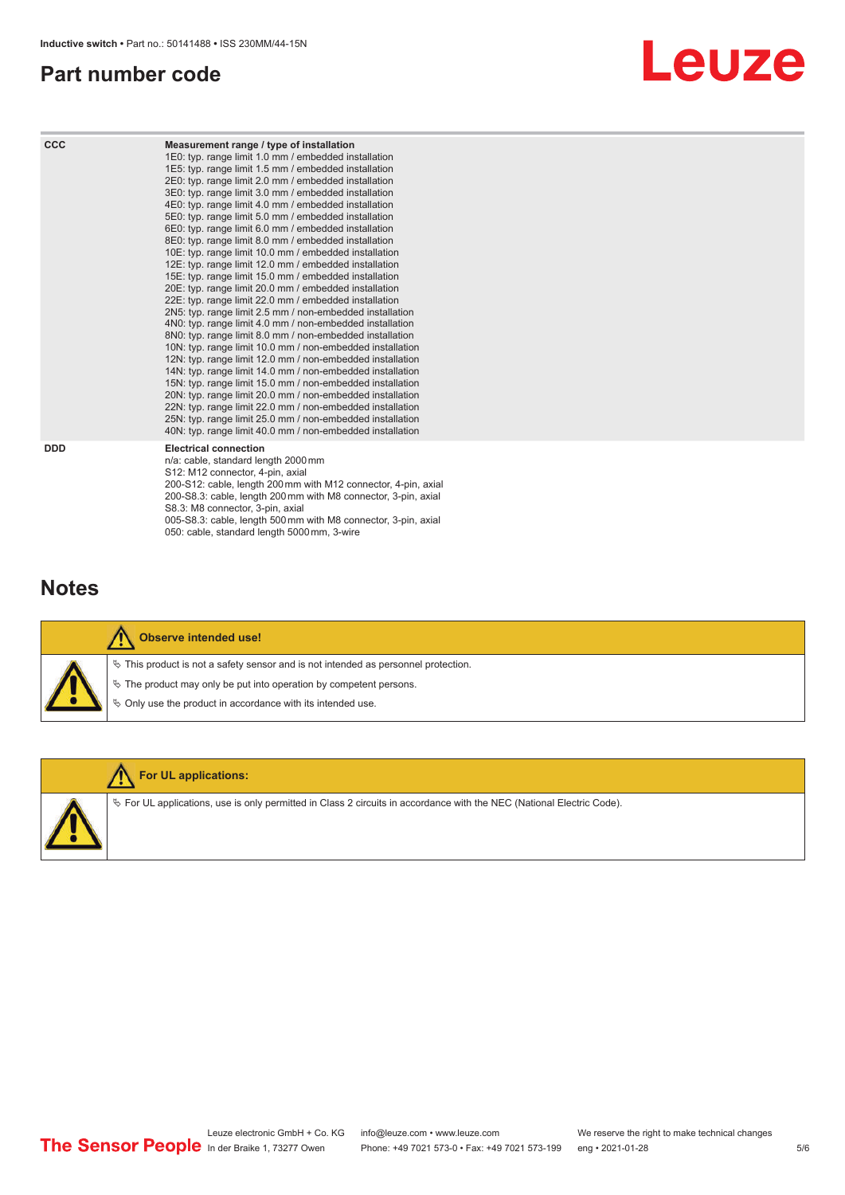# <span id="page-4-0"></span>**Part number code**



| <b>CCC</b> | Measurement range / type of installation<br>1E0: typ. range limit 1.0 mm / embedded installation<br>1E5: typ. range limit 1.5 mm / embedded installation<br>2E0: typ. range limit 2.0 mm / embedded installation<br>3E0: typ. range limit 3.0 mm / embedded installation<br>4E0: typ. range limit 4.0 mm / embedded installation<br>5E0: typ. range limit 5.0 mm / embedded installation<br>6E0: typ. range limit 6.0 mm / embedded installation<br>8E0: typ. range limit 8.0 mm / embedded installation<br>10E: typ. range limit 10.0 mm / embedded installation<br>12E: typ. range limit 12.0 mm / embedded installation<br>15E: typ. range limit 15.0 mm / embedded installation<br>20E: typ. range limit 20.0 mm / embedded installation<br>22E: typ. range limit 22.0 mm / embedded installation<br>2N5: typ. range limit 2.5 mm / non-embedded installation<br>4N0: typ. range limit 4.0 mm / non-embedded installation<br>8N0: typ. range limit 8.0 mm / non-embedded installation<br>10N: typ. range limit 10.0 mm / non-embedded installation<br>12N: typ. range limit 12.0 mm / non-embedded installation<br>14N: typ. range limit 14.0 mm / non-embedded installation<br>15N: typ. range limit 15.0 mm / non-embedded installation<br>20N: typ. range limit 20.0 mm / non-embedded installation<br>22N: typ. range limit 22.0 mm / non-embedded installation<br>25N: typ. range limit 25.0 mm / non-embedded installation<br>40N: typ. range limit 40.0 mm / non-embedded installation |
|------------|---------------------------------------------------------------------------------------------------------------------------------------------------------------------------------------------------------------------------------------------------------------------------------------------------------------------------------------------------------------------------------------------------------------------------------------------------------------------------------------------------------------------------------------------------------------------------------------------------------------------------------------------------------------------------------------------------------------------------------------------------------------------------------------------------------------------------------------------------------------------------------------------------------------------------------------------------------------------------------------------------------------------------------------------------------------------------------------------------------------------------------------------------------------------------------------------------------------------------------------------------------------------------------------------------------------------------------------------------------------------------------------------------------------------------------------------------------------------------------------------------|
| <b>DDD</b> | <b>Electrical connection</b><br>n/a: cable, standard length 2000 mm<br>S12: M12 connector, 4-pin, axial<br>200-S12: cable, length 200 mm with M12 connector, 4-pin, axial<br>200-S8.3: cable, length 200 mm with M8 connector, 3-pin, axial<br>S8.3: M8 connector, 3-pin, axial                                                                                                                                                                                                                                                                                                                                                                                                                                                                                                                                                                                                                                                                                                                                                                                                                                                                                                                                                                                                                                                                                                                                                                                                                   |

# **Notes**



#### **Observe intended use!**

 $\%$  This product is not a safety sensor and is not intended as personnel protection.

005-S8.3: cable, length 500 mm with M8 connector, 3-pin, axial

 $\%$  The product may only be put into operation by competent persons.

050: cable, standard length 5000 mm, 3-wire

 $\%$  Only use the product in accordance with its intended use.



#### **For UL applications:**

 $\%$  For UL applications, use is only permitted in Class 2 circuits in accordance with the NEC (National Electric Code).